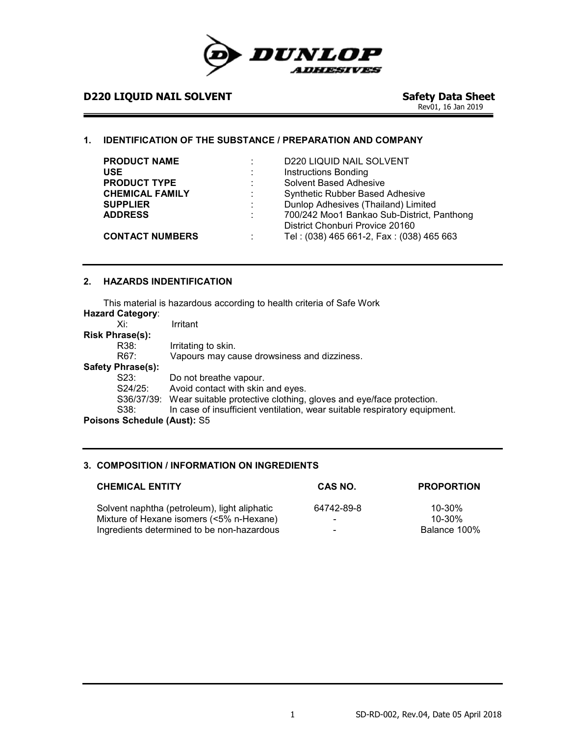

# **D220 LIQUID NAIL SOLVENT**

Safety Data Sheet<br>Rev01, 16 Jan 2019

#### **1. IDENTIFICATION OF THE SUBSTANCE / PREPARATION AND COMPANY**

| <b>PRODUCT NAME</b><br><b>USE</b><br><b>PRODUCT TYPE</b> | $\mathbb{Z}^{\mathbb{Z}}$ | <b>D220 LIQUID NAIL SOLVENT</b><br><b>Instructions Bonding</b><br>Solvent Based Adhesive                                  |
|----------------------------------------------------------|---------------------------|---------------------------------------------------------------------------------------------------------------------------|
| <b>CHEMICAL FAMILY</b><br><b>SUPPLIER</b>                | ÷.<br>÷.                  | Synthetic Rubber Based Adhesive<br>Dunlop Adhesives (Thailand) Limited                                                    |
| <b>ADDRESS</b><br><b>CONTACT NUMBERS</b>                 | t.                        | 700/242 Moo1 Bankao Sub-District, Panthong<br>District Chonburi Provice 20160<br>Tel: (038) 465 661-2, Fax: (038) 465 663 |

## **2. HAZARDS INDENTIFICATION**

This material is hazardous according to health criteria of Safe Work

| <b>Hazard Category:</b>     |                                                                               |
|-----------------------------|-------------------------------------------------------------------------------|
| Xi∶                         | Irritant                                                                      |
| <b>Risk Phrase(s):</b>      |                                                                               |
| R38:                        | Irritating to skin.                                                           |
| R67:                        | Vapours may cause drowsiness and dizziness.                                   |
| <b>Safety Phrase(s):</b>    |                                                                               |
| S23:                        | Do not breathe vapour.                                                        |
| S24/25:                     | Avoid contact with skin and eyes.                                             |
|                             | S36/37/39: Wear suitable protective clothing, gloves and eye/face protection. |
| S38:                        | In case of insufficient ventilation, wear suitable respiratory equipment.     |
| Poisons Schedule (Aust): S5 |                                                                               |

# **3. COMPOSITION / INFORMATION ON INGREDIENTS**

| <b>CHEMICAL ENTITY</b>                       | CAS NO.    | <b>PROPORTION</b> |
|----------------------------------------------|------------|-------------------|
| Solvent naphtha (petroleum), light aliphatic | 64742-89-8 | $10 - 30\%$       |
| Mixture of Hexane isomers (<5% n-Hexane)     | -          | $10 - 30\%$       |
| Ingredients determined to be non-hazardous   | -          | Balance 100%      |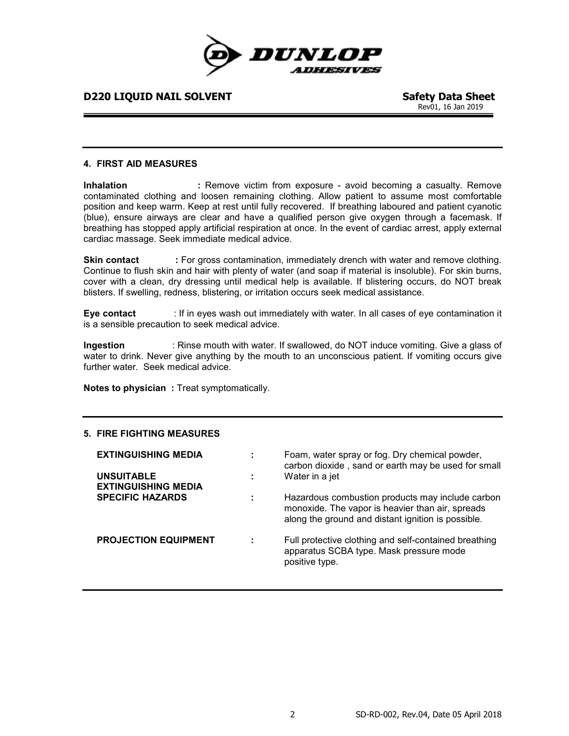

Rev01, 16 Jan 2019

#### **4. FIRST AID MEASURES**

**Inhalation :** Remove victim from exposure - avoid becoming a casualty. Remove contaminated clothing and loosen remaining clothing. Allow patient to assume most comfortable position and keep warm. Keep at rest until fully recovered. If breathing laboured and patient cyanotic (blue), ensure airways are clear and have a qualified person give oxygen through a facemask. If breathing has stopped apply artificial respiration at once. In the event of cardiac arrest, apply external cardiac massage. Seek immediate medical advice.

**Skin contact** : For gross contamination, immediately drench with water and remove clothing. Continue to flush skin and hair with plenty of water (and soap if material is insoluble). For skin burns, cover with a clean, dry dressing until medical help is available. If blistering occurs, do NOT break blisters. If swelling, redness, blistering, or irritation occurs seek medical assistance.

**Eye contact** : If in eyes wash out immediately with water. In all cases of eye contamination it is a sensible precaution to seek medical advice.

**Ingestion** : Rinse mouth with water. If swallowed, do NOT induce vomiting. Give a glass of water to drink. Never give anything by the mouth to an unconscious patient. If vomiting occurs give further water. Seek medical advice.

**Notes to physician : Treat symptomatically.** 

#### **5. FIRE FIGHTING MEASURES**

| <b>EXTINGUISHING MEDIA</b><br><b>UNSUITABLE</b><br><b>EXTINGUISHING MEDIA</b> | Foam, water spray or fog. Dry chemical powder,<br>carbon dioxide, sand or earth may be used for small<br>Water in a jet                                    |
|-------------------------------------------------------------------------------|------------------------------------------------------------------------------------------------------------------------------------------------------------|
| <b>SPECIFIC HAZARDS</b>                                                       | Hazardous combustion products may include carbon<br>monoxide. The vapor is heavier than air, spreads<br>along the ground and distant ignition is possible. |
| <b>PROJECTION EQUIPMENT</b>                                                   | Full protective clothing and self-contained breathing<br>apparatus SCBA type. Mask pressure mode<br>positive type.                                         |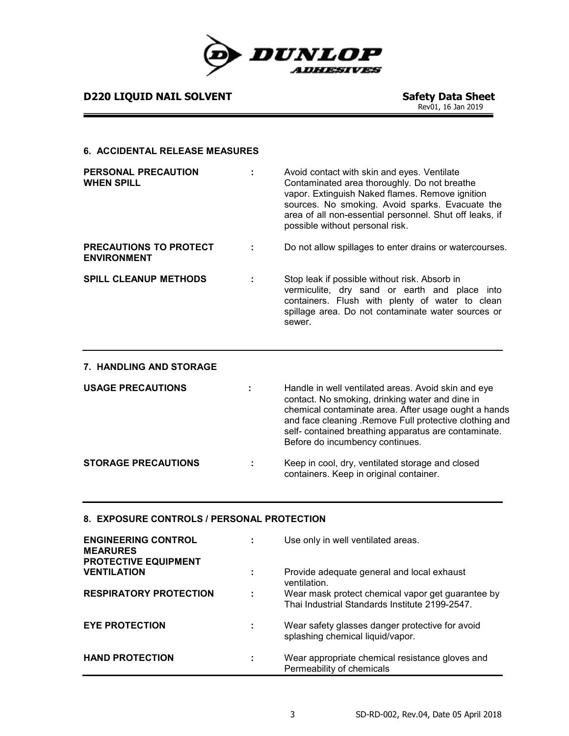

**D220 LIQUID NAIL SOLVENT** 

Safety Data Sheet<br>Rev01, 16 Jan 2019

#### **6. ACCIDENTAL RELEASE MEASURES**

| <b>PERSONAL PRECAUTION</b><br><b>WHEN SPILL</b>     | Avoid contact with skin and eyes. Ventilate<br>Contaminated area thoroughly. Do not breathe<br>vapor. Extinguish Naked flames. Remove ignition<br>sources. No smoking. Avoid sparks. Evacuate the<br>area of all non-essential personnel. Shut off leaks, if<br>possible without personal risk. |
|-----------------------------------------------------|-------------------------------------------------------------------------------------------------------------------------------------------------------------------------------------------------------------------------------------------------------------------------------------------------|
| <b>PRECAUTIONS TO PROTECT</b><br><b>ENVIRONMENT</b> | Do not allow spillages to enter drains or watercourses.                                                                                                                                                                                                                                         |
| <b>SPILL CLEANUP METHODS</b>                        | Stop leak if possible without risk. Absorb in<br>vermiculite, dry sand or earth and place into<br>containers. Flush with plenty of water to clean<br>spillage area. Do not contaminate water sources or<br>sewer.                                                                               |

| 7. HANDLING AND STORAGE    |                                                                                                                                                                                                                                                                                                                      |
|----------------------------|----------------------------------------------------------------------------------------------------------------------------------------------------------------------------------------------------------------------------------------------------------------------------------------------------------------------|
| <b>USAGE PRECAUTIONS</b>   | Handle in well ventilated areas. Avoid skin and eye<br>contact. No smoking, drinking water and dine in<br>chemical contaminate area. After usage ought a hands<br>and face cleaning . Remove Full protective clothing and<br>self- contained breathing apparatus are contaminate.<br>Before do incumbency continues. |
| <b>STORAGE PRECAUTIONS</b> | Keep in cool, dry, ventilated storage and closed<br>containers. Keep in original container.                                                                                                                                                                                                                          |

#### **8. EXPOSURE CONTROLS / PERSONAL PROTECTION**

| <b>ENGINEERING CONTROL</b><br><b>MEARURES</b><br><b>PROTECTIVE EQUIPMENT</b> |   | Use only in well ventilated areas.                                                                  |
|------------------------------------------------------------------------------|---|-----------------------------------------------------------------------------------------------------|
| <b>VENTILATION</b>                                                           |   | Provide adequate general and local exhaust<br>ventilation.                                          |
| <b>RESPIRATORY PROTECTION</b>                                                | ÷ | Wear mask protect chemical vapor get guarantee by<br>Thai Industrial Standards Institute 2199-2547. |
| <b>EYE PROTECTION</b>                                                        |   | Wear safety glasses danger protective for avoid<br>splashing chemical liquid/vapor.                 |
| <b>HAND PROTECTION</b>                                                       |   | Wear appropriate chemical resistance gloves and<br>Permeability of chemicals                        |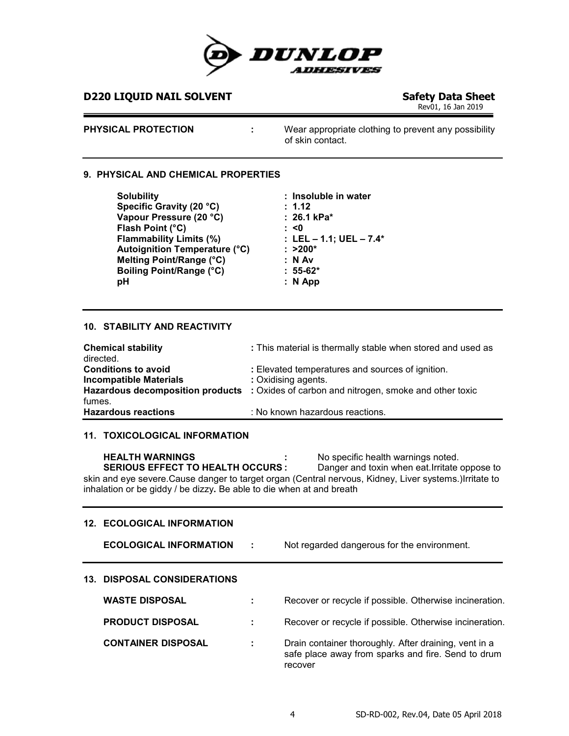

Rev01, 16 Jan 2019

**PHYSICAL PROTECTION :** Wear appropriate clothing to prevent any possibility of skin contact.

#### **9. PHYSICAL AND CHEMICAL PROPERTIES**

**Solubility : Insoluble in water** Specific Gravity (20 °C) **:** 1.12<br>Vapour Pressure (20 °C) **: 26.1 kPa**\* **Vapour Pressure (20 °C) Flash Point (°C) : <0 Flammability Limits (%) : LEL – 1.1; UEL – 7.4\* Autoignition Temperature (°C) : >200\* Melting Point/Range (°C)**  $\qquad \qquad : \mathsf{N} \text{ Av}$ <br> **Boiling Point/Range (°C)**  $\qquad \qquad : 55-62^*$ **Boiling Point/Range (°C)**<br>pH **pH : N App**

#### **10. STABILITY AND REACTIVITY**

| <b>Chemical stability</b><br>directed. | : This material is thermally stable when stored and used as                                    |
|----------------------------------------|------------------------------------------------------------------------------------------------|
| <b>Conditions to avoid</b>             | : Elevated temperatures and sources of ignition.                                               |
| <b>Incompatible Materials</b>          | : Oxidising agents.                                                                            |
|                                        | <b>Hazardous decomposition products</b> : Oxides of carbon and nitrogen, smoke and other toxic |
| fumes.                                 |                                                                                                |
| <b>Hazardous reactions</b>             | : No known hazardous reactions.                                                                |

#### **11. TOXICOLOGICAL INFORMATION**

**HEALTH WARNINGS** : No specific health warnings noted.<br>**SERIOUS EFFECT TO HEALTH OCCURS**: Danger and toxin when eat.Irritate **Danger and toxin when eat.Irritate oppose to** skin and eye severe.Cause danger to target organ (Central nervous, Kidney, Liver systems.)Irritate to inhalation or be giddy / be dizzy**.** Be able to die when at and breath

#### **12. ECOLOGICAL INFORMATION**

**ECOLOGICAL INFORMATION :** Not regarded dangerous for the environment.

### **13. DISPOSAL CONSIDERATIONS**

| <b>WASTE DISPOSAL</b>     |    | Recover or recycle if possible. Otherwise incineration.                                                                |
|---------------------------|----|------------------------------------------------------------------------------------------------------------------------|
| <b>PRODUCT DISPOSAL</b>   |    | Recover or recycle if possible. Otherwise incineration.                                                                |
| <b>CONTAINER DISPOSAL</b> | ÷. | Drain container thoroughly. After draining, vent in a<br>safe place away from sparks and fire. Send to drum<br>recover |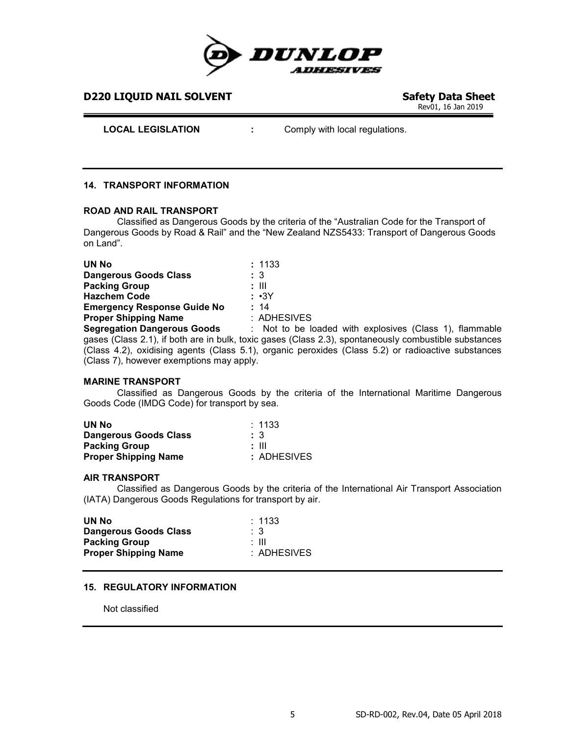

Rev01, 16 Jan 2019

**LOCAL LEGISLATION :** Comply with local regulations.

### **14. TRANSPORT INFORMATION**

#### **ROAD AND RAIL TRANSPORT**

Classified as Dangerous Goods by the criteria of the "Australian Code for the Transport of Dangerous Goods by Road & Rail" and the "New Zealand NZS5433: Transport of Dangerous Goods on Land".

| <b>UN No</b>                             |       | : 1133                                                                                                |
|------------------------------------------|-------|-------------------------------------------------------------------------------------------------------|
| <b>Dangerous Goods Class</b>             | :3    |                                                                                                       |
| <b>Packing Group</b>                     | : III |                                                                                                       |
| <b>Hazchem Code</b>                      |       | : ∙3Y                                                                                                 |
| <b>Emergency Response Guide No</b>       | : 14  |                                                                                                       |
| <b>Proper Shipping Name</b>              |       | : ADHESIVES                                                                                           |
| <b>Segregation Dangerous Goods</b>       |       | : Not to be loaded with explosives (Class 1), flammable                                               |
|                                          |       | gases (Class 2.1), if both are in bulk, toxic gases (Class 2.3), spontaneously combustible substances |
|                                          |       | (Class 4.2), oxidising agents (Class 5.1), organic peroxides (Class 5.2) or radioactive substances    |
| (Class 7), however exemptions may apply. |       |                                                                                                       |

#### **MARINE TRANSPORT**

Classified as Dangerous Goods by the criteria of the International Maritime Dangerous Goods Code (IMDG Code) for transport by sea.

| UN No                        | $\therefore$ 1133 |
|------------------------------|-------------------|
| <b>Dangerous Goods Class</b> | : 3               |
| <b>Packing Group</b>         | : III             |
| <b>Proper Shipping Name</b>  | : ADHESIVES       |

#### **AIR TRANSPORT**

Classified as Dangerous Goods by the criteria of the International Air Transport Association (IATA) Dangerous Goods Regulations for transport by air.

| $\therefore$ 1133 |
|-------------------|
| - 3               |
| : III             |
| : ADHESIVES       |
|                   |

#### **15. REGULATORY INFORMATION**

Not classified